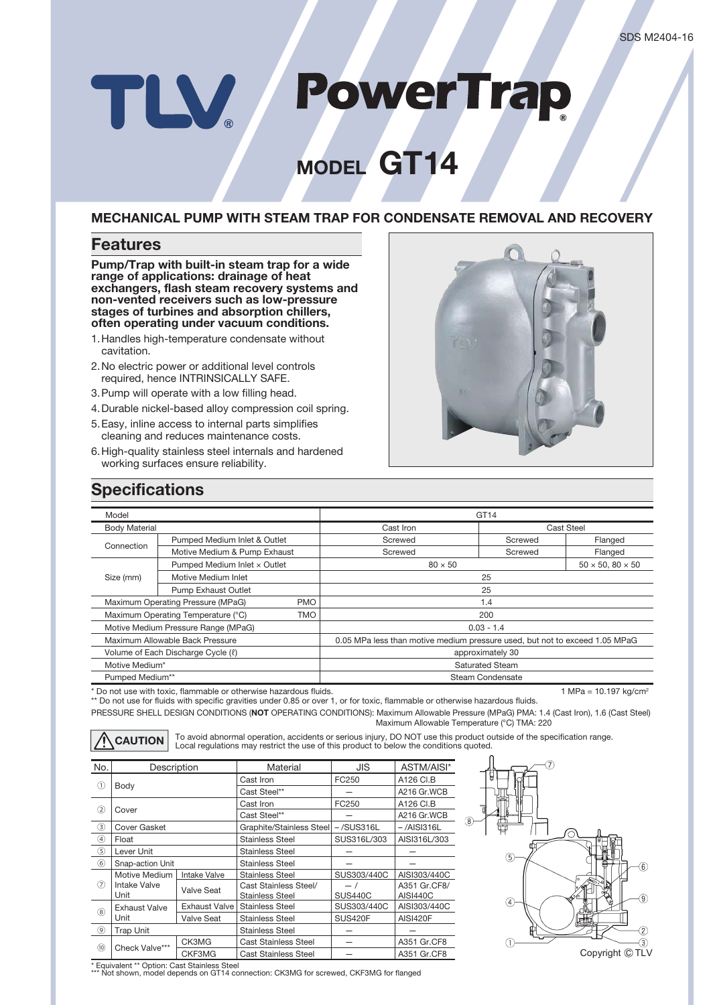# **PowerTrap** TLV

# **MODEL GT14**

### **MECHANICAL PUMP WITH STEAM TRAP FOR CONDENSATE REMOVAL AND RECOVERY**

### **Features**

**Pump/Trap with built-in steam trap for a wide range of applications: drainage of heat exchangers, flash steam recovery systems and non-vented receivers such as low-pressure stages of turbines and absorption chillers, often operating under vacuum conditions.**

- 1. Handles high-temperature condensate without cavitation.
- 2. No electric power or additional level controls required, hence INTRINSICALLY SAFE.
- 3. Pump will operate with a low filling head.
- 4. Durable nickel-based alloy compression coil spring.
- 5. Easy, inline access to internal parts simplifies cleaning and reduces maintenance costs.
- 6. High-quality stainless steel internals and hardened working surfaces ensure reliability.



# **Specifications**

| Model                                            |                              | GT14                                                                        |            |                              |  |
|--------------------------------------------------|------------------------------|-----------------------------------------------------------------------------|------------|------------------------------|--|
| <b>Body Material</b>                             |                              | Cast Iron                                                                   | Cast Steel |                              |  |
| Connection                                       | Pumped Medium Inlet & Outlet | Screwed                                                                     | Screwed    | Flanged                      |  |
|                                                  | Motive Medium & Pump Exhaust | Screwed                                                                     | Screwed    | Flanged                      |  |
| Size (mm)                                        | Pumped Medium Inlet x Outlet | $80 \times 50$                                                              |            | $50 \times 50, 80 \times 50$ |  |
|                                                  | Motive Medium Inlet          | 25                                                                          |            |                              |  |
|                                                  | <b>Pump Exhaust Outlet</b>   | 25                                                                          |            |                              |  |
| Maximum Operating Pressure (MPaG)<br><b>PMO</b>  |                              | 1.4                                                                         |            |                              |  |
| Maximum Operating Temperature (°C)<br><b>TMO</b> |                              | 200                                                                         |            |                              |  |
| Motive Medium Pressure Range (MPaG)              |                              | $0.03 - 1.4$                                                                |            |                              |  |
| Maximum Allowable Back Pressure                  |                              | 0.05 MPa less than motive medium pressure used, but not to exceed 1.05 MPaG |            |                              |  |
| Volume of Each Discharge Cycle ( $\ell$ )        |                              | approximately 30                                                            |            |                              |  |
| Motive Medium*                                   |                              | <b>Saturated Steam</b>                                                      |            |                              |  |
| Pumped Medium**                                  |                              | Steam Condensate                                                            |            |                              |  |
|                                                  |                              |                                                                             |            |                              |  |

\* Do not use with toxic, flammable or otherwise hazardous fluids. 1 MPa = 10.197 kg/cm<sup>2</sup> and the total of the total of the total of the total of the total of the total of the total of the total of the total of the total o

PRESSURE SHELL DESIGN CONDITIONS (**NOT** OPERATING CONDITIONS): Maximum Allowable Pressure (MPaG) PMA: 1.4 (Cast Iron), 1.6 (Cast Steel) Maximum Allowable Temperature (°C) TMA: 220 \*\* Do not use for fluids with specific gravities under 0.85 or over 1, or for toxic, flammable or otherwise hazardous fluids.

CAUTION To avoid abnormal operation, accidents or serious injury, DO NOT use this product outside of the specification range.<br>
Local regulations may restrict the use of this product to below the conditions quoted.

| No.            | Description                   |                     | Material                                 | <b>JIS</b>     | ASTM/AISI*      |  |
|----------------|-------------------------------|---------------------|------------------------------------------|----------------|-----------------|--|
| (1)            | Body                          |                     | Cast Iron                                | FC250          | A126 CI.B       |  |
|                |                               |                     | Cast Steel**                             |                | A216 Gr.WCB     |  |
| (2)            | Cover                         |                     | Cast Iron                                | FC250          | A126 CI.B       |  |
|                |                               |                     | Cast Steel**                             |                | A216 Gr.WCB     |  |
| $\circled{3}$  | <b>Cover Gasket</b>           |                     | Graphite/Stainless Steel                 | $-$ /SUS316L   | $-$ /AISI316L   |  |
| $\circledast$  | Float                         |                     | <b>Stainless Steel</b>                   | SUS316L/303    | AISI316L/303    |  |
| $\circledS$    | Lever Unit                    |                     | <b>Stainless Steel</b>                   |                |                 |  |
| $\circled{6}$  | Snap-action Unit              |                     | <b>Stainless Steel</b>                   |                |                 |  |
| $\circled7$    | Motive Medium<br>Intake Valve | <b>Intake Valve</b> | <b>Stainless Steel</b>                   | SUS303/440C    | AISI303/440C    |  |
|                |                               | Valve Seat          | Cast Stainless Steel/                    | $-1$           | A351 Gr.CF8/    |  |
|                | Unit                          |                     | <b>Stainless Steel</b>                   | <b>SUS440C</b> | <b>AISI440C</b> |  |
| $\circledR$    | <b>Exhaust Valve</b>          | Exhaust Valve I     | <b>Stainless Steel</b>                   | SUS303/440C    | AISI303/440C    |  |
|                | Unit                          | <b>Valve Seat</b>   | <b>SUS420F</b><br><b>Stainless Steel</b> |                | <b>AISI420F</b> |  |
| $^{\circledR}$ | <b>Trap Unit</b>              |                     | <b>Stainless Steel</b>                   |                |                 |  |
| (10)           | Check Valve***                | CK3MG               | <b>Cast Stainless Steel</b>              |                | A351 Gr.CF8     |  |
|                |                               | CKF3MG              | <b>Cast Stainless Steel</b>              |                | A351 Gr.CF8     |  |



\* Equivalent \*\* Option: Cast Stainless Steel \*\*\* Not shown, model depends on GT14 connection: CK3MG for screwed, CKF3MG for flanged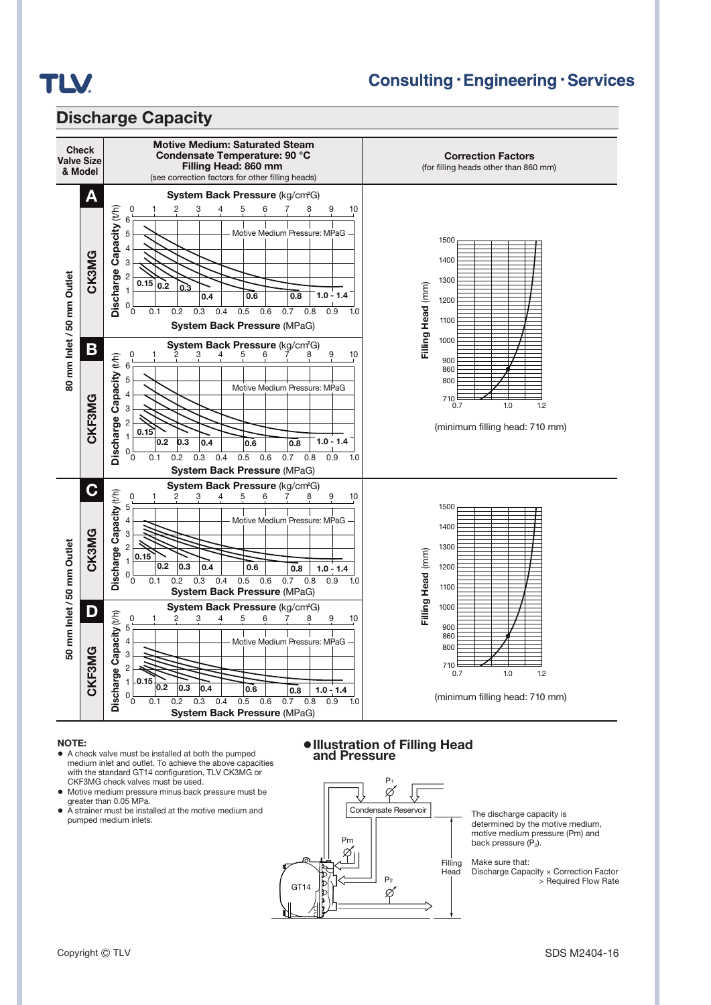

## **Consulting · Engineering · Services**

### **Discharge Capacity**



#### **NOTE:**

- **●** A check valve must be installed at both the pumped medium inlet and outlet. To achieve the above capacities with the standard GT14 configuration, TLV CK3MG or CKF3MG check valves must be used.
- **●** Motive medium pressure minus back pressure must be greater than 0.05 MPa.
- **●** A strainer must be installed at the motive medium and pumped medium inlets.

### **●Illustration of Filling Head and Pressure**



The discharge capacity is determined by the motive medium, motive medium pressure (Pm) and back pressure  $(P_2)$ .

#### Make sure that:

Discharge Capacity × Correction Factor > Required Flow Rate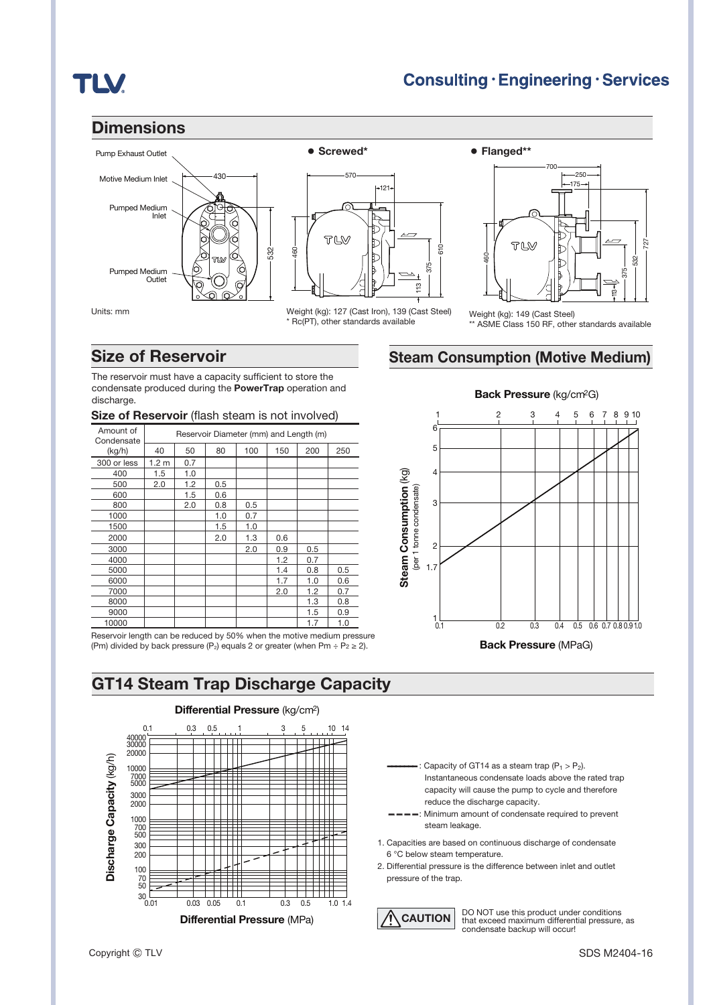# **TLV**

### **Dimensions**





\* Rc(PT), other standards available



Weight (kg): 127 (Cast Iron), 139 (Cast Steel) Weight (kg): 149 (Cast Steel)

## **Size of Reservoir**

The reservoir must have a capacity sufficient to store the condensate produced during the **PowerTrap** operation and discharge.

### **Size of Reservoir** (flash steam is not involved)

| Amount of<br>Condensate | Reservoir Diameter (mm) and Length (m) |     |     |     |     |     |     |
|-------------------------|----------------------------------------|-----|-----|-----|-----|-----|-----|
| (kg/h)                  | 40                                     | 50  | 80  | 100 | 150 | 200 | 250 |
| 300 or less             | 1.2 <sub>m</sub>                       | 0.7 |     |     |     |     |     |
| 400                     | 1.5                                    | 1.0 |     |     |     |     |     |
| 500                     | 2.0                                    | 1.2 | 0.5 |     |     |     |     |
| 600                     |                                        | 1.5 | 0.6 |     |     |     |     |
| 800                     |                                        | 2.0 | 0.8 | 0.5 |     |     |     |
| 1000                    |                                        |     | 1.0 | 0.7 |     |     |     |
| 1500                    |                                        |     | 1.5 | 1.0 |     |     |     |
| 2000                    |                                        |     | 2.0 | 1.3 | 0.6 |     |     |
| 3000                    |                                        |     |     | 2.0 | 0.9 | 0.5 |     |
| 4000                    |                                        |     |     |     | 1.2 | 0.7 |     |
| 5000                    |                                        |     |     |     | 1.4 | 0.8 | 0.5 |
| 6000                    |                                        |     |     |     | 1.7 | 1.0 | 0.6 |
| 7000                    |                                        |     |     |     | 2.0 | 1.2 | 0.7 |
| 8000                    |                                        |     |     |     |     | 1.3 | 0.8 |
| 9000                    |                                        |     |     |     |     | 1.5 | 0.9 |
| 10000                   |                                        |     |     |     |     | 1.7 | 1.0 |

Reservoir length can be reduced by 50% when the motive medium pressure (Pm) divided by back pressure (P<sub>2</sub>) equals 2 or greater (when Pm ÷ P<sub>2</sub> ≥ 2).

# **GT14 Steam Trap Discharge Capacity**



### **Differential Pressure** (kg/cm2)



: Capacity of GT14 as a steam trap  $(P_1 > P_2)$ . Instantaneous condensate loads above the rated trap capacity will cause the pump to cycle and therefore reduce the discharge capacity.

- -: Minimum amount of condensate required to prevent steam leakage.
- 1. Capacities are based on continuous discharge of condensate 6 °C below steam temperature.
- 2. Differential pressure is the difference between inlet and outlet

**CAUTION** DO NOT use this product under conditions that exceed maximum differential pressure, as condensate backup will occur!

### Units: mm

ASME Class 150 RF, other standards available

# **Steam Consumption (Motive Medium)**